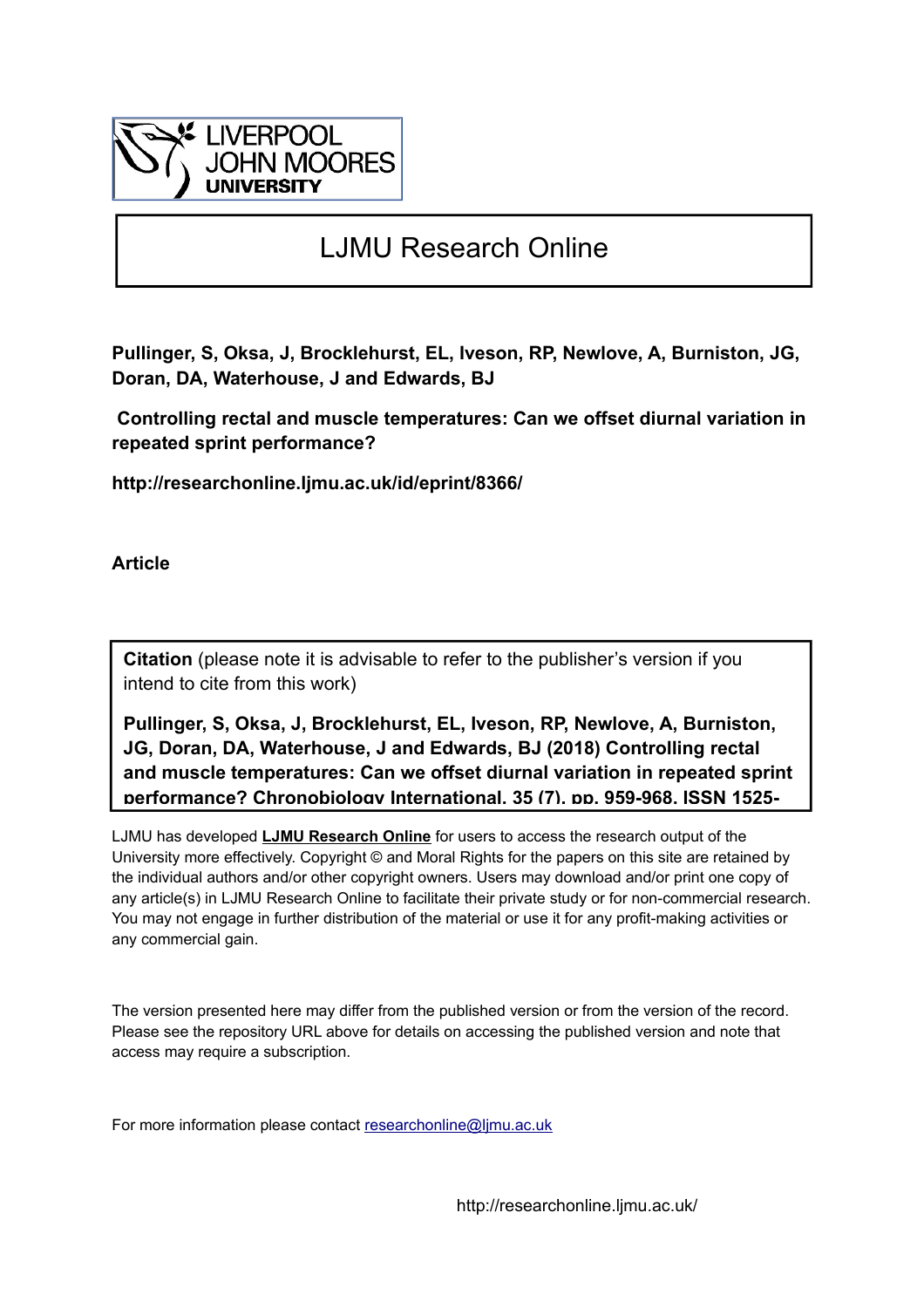

# LJMU Research Online

**Pullinger, S, Oksa, J, Brocklehurst, EL, Iveson, RP, Newlove, A, Burniston, JG, Doran, DA, Waterhouse, J and Edwards, BJ**

 **Controlling rectal and muscle temperatures: Can we offset diurnal variation in repeated sprint performance?**

**http://researchonline.ljmu.ac.uk/id/eprint/8366/**

**Article**

**Citation** (please note it is advisable to refer to the publisher's version if you intend to cite from this work)

**Pullinger, S, Oksa, J, Brocklehurst, EL, Iveson, RP, Newlove, A, Burniston, JG, Doran, DA, Waterhouse, J and Edwards, BJ (2018) Controlling rectal and muscle temperatures: Can we offset diurnal variation in repeated sprint performance? Chronobiology International, 35 (7). pp. 959-968. ISSN 1525-**

LJMU has developed **[LJMU Research Online](http://researchonline.ljmu.ac.uk/)** for users to access the research output of the University more effectively. Copyright © and Moral Rights for the papers on this site are retained by the individual authors and/or other copyright owners. Users may download and/or print one copy of any article(s) in LJMU Research Online to facilitate their private study or for non-commercial research. You may not engage in further distribution of the material or use it for any profit-making activities or any commercial gain.

The version presented here may differ from the published version or from the version of the record. Please see the repository URL above for details on accessing the published version and note that access may require a subscription.

For more information please contact researchonline@limu.ac.uk

http://researchonline.ljmu.ac.uk/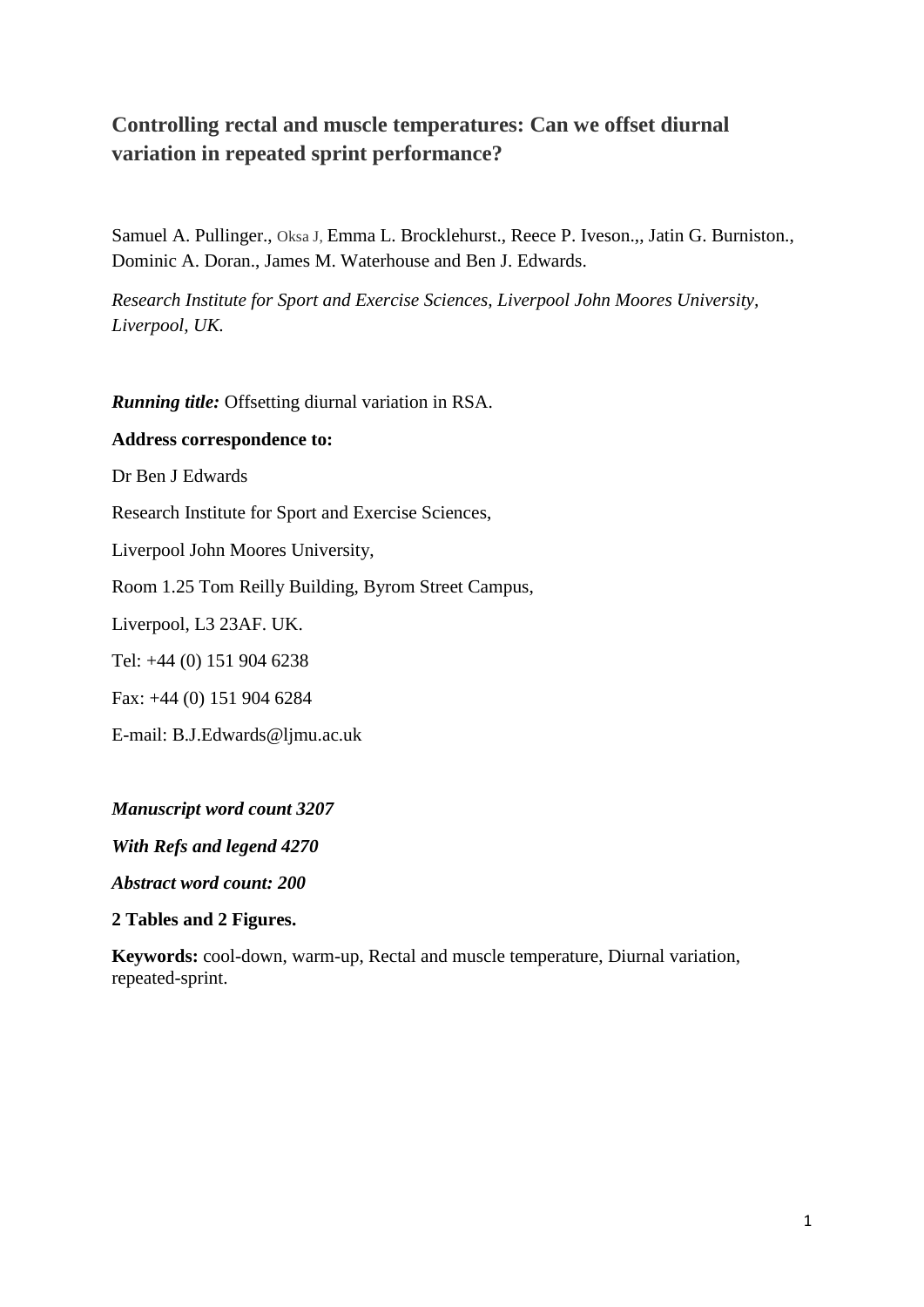# **Controlling rectal and muscle temperatures: Can we offset diurnal variation in repeated sprint performance?**

Samuel A. Pullinger., Oksa J, Emma L. Brocklehurst., Reece P. Iveson.,, Jatin G. Burniston., Dominic A. Doran., James M. Waterhouse and Ben J. Edwards.

*Research Institute for Sport and Exercise Sciences, Liverpool John Moores University, Liverpool, UK.*

*Running title:* Offsetting diurnal variation in RSA.

# **Address correspondence to:**

Dr Ben J Edwards

Research Institute for Sport and Exercise Sciences,

Liverpool John Moores University,

Room 1.25 Tom Reilly Building, Byrom Street Campus,

Liverpool, L3 23AF. UK.

Tel: +44 (0) 151 904 6238

Fax: +44 (0) 151 904 6284

E-mail: B.J.Edwards@ljmu.ac.uk

*Manuscript word count 3207*

*With Refs and legend 4270*

*Abstract word count: 200*

**2 Tables and 2 Figures.**

**Keywords:** cool-down, warm-up, Rectal and muscle temperature, Diurnal variation, repeated-sprint.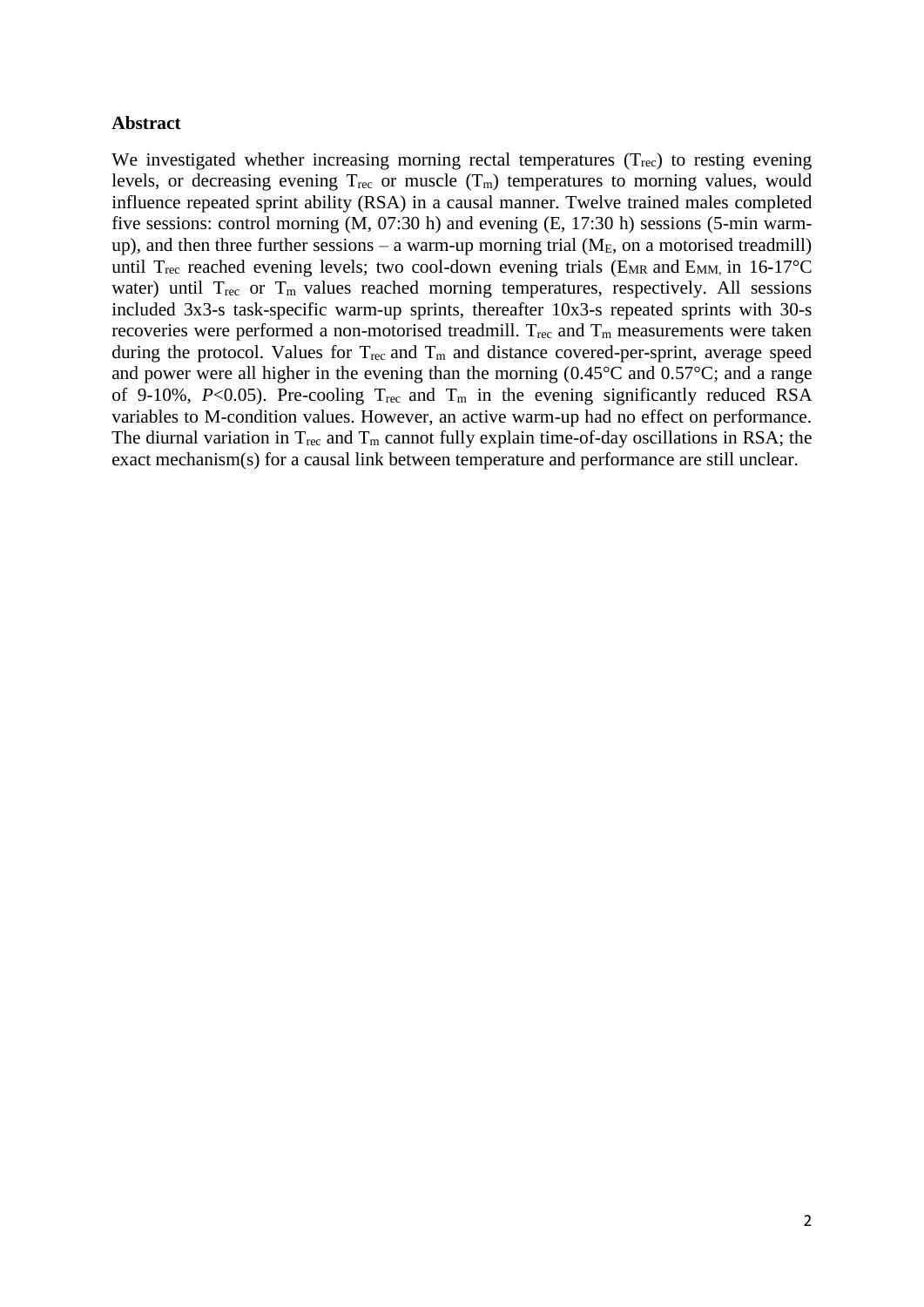#### **Abstract**

We investigated whether increasing morning rectal temperatures (T<sub>rec</sub>) to resting evening levels, or decreasing evening  $T_{\text{rec}}$  or muscle  $(T_m)$  temperatures to morning values, would influence repeated sprint ability (RSA) in a causal manner. Twelve trained males completed five sessions: control morning (M, 07:30 h) and evening (E, 17:30 h) sessions (5-min warmup), and then three further sessions – a warm-up morning trial ( $M_E$ , on a motorised treadmill) until T<sub>rec</sub> reached evening levels; two cool-down evening trials ( $E_{MR}$  and  $E_{MM}$ , in 16-17<sup>o</sup>C water) until  $T_{\text{rec}}$  or  $T_{\text{m}}$  values reached morning temperatures, respectively. All sessions included 3x3-s task-specific warm-up sprints, thereafter 10x3-s repeated sprints with 30-s recoveries were performed a non-motorised treadmill.  $T_{\text{rec}}$  and  $T_{\text{m}}$  measurements were taken during the protocol. Values for  $T_{\text{rec}}$  and  $T_{\text{m}}$  and distance covered-per-sprint, average speed and power were all higher in the evening than the morning (0.45°C and 0.57°C; and a range of 9-10%,  $P<0.05$ ). Pre-cooling  $T_{\text{rec}}$  and  $T_{\text{m}}$  in the evening significantly reduced RSA variables to M-condition values. However, an active warm-up had no effect on performance. The diurnal variation in  $T_{rec}$  and  $T_m$  cannot fully explain time-of-day oscillations in RSA; the exact mechanism(s) for a causal link between temperature and performance are still unclear.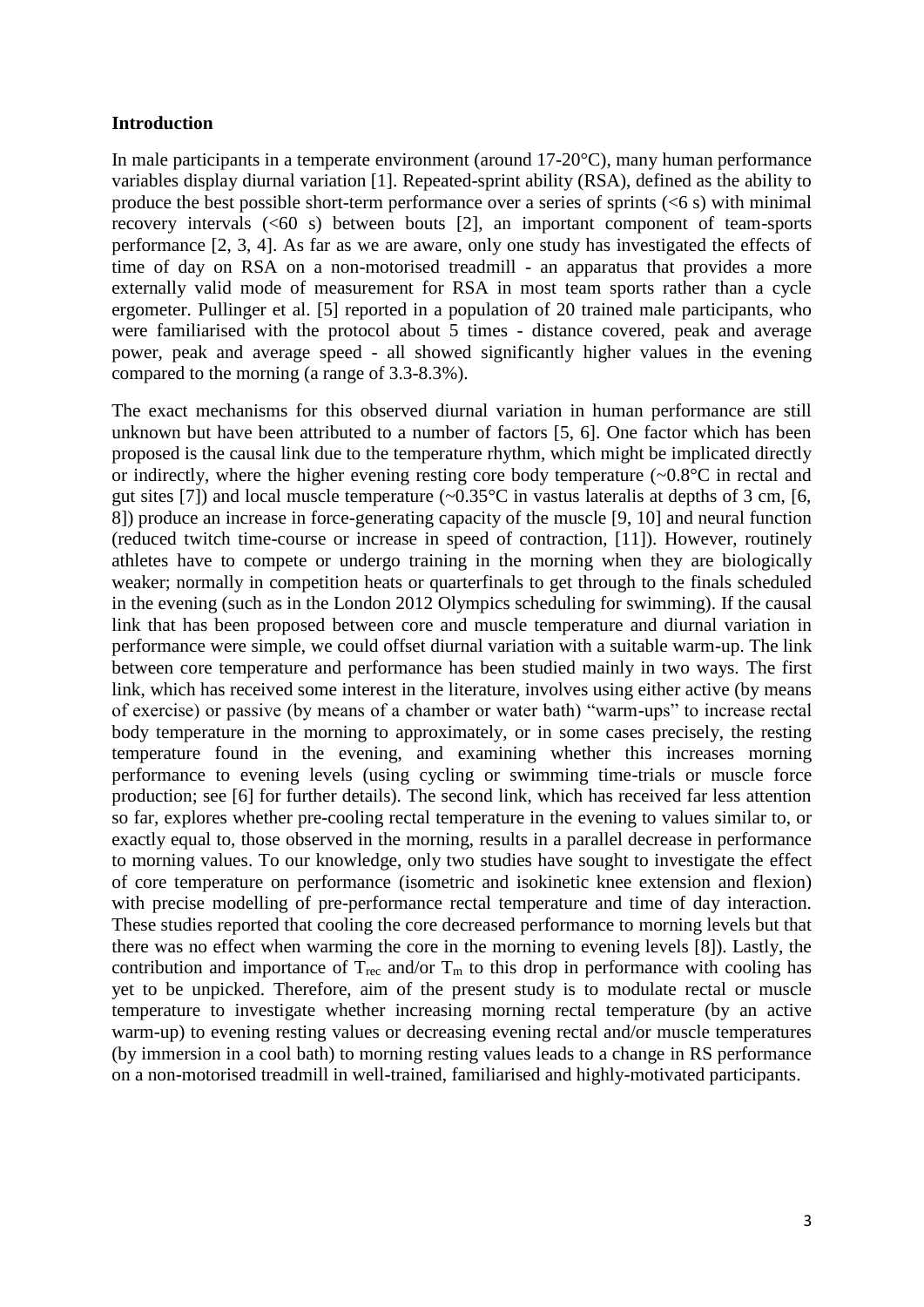#### **Introduction**

In male participants in a temperate environment (around 17-20°C), many human performance variables display diurnal variation [1]. Repeated-sprint ability (RSA), defined as the ability to produce the best possible short-term performance over a series of sprints  $(< 6 s$ ) with minimal recovery intervals (<60 s) between bouts [2], an important component of team-sports performance [2, 3, 4]. As far as we are aware, only one study has investigated the effects of time of day on RSA on a non-motorised treadmill - an apparatus that provides a more externally valid mode of measurement for RSA in most team sports rather than a cycle ergometer. Pullinger et al. [5] reported in a population of 20 trained male participants, who were familiarised with the protocol about 5 times - distance covered, peak and average power, peak and average speed - all showed significantly higher values in the evening compared to the morning (a range of 3.3-8.3%).

The exact mechanisms for this observed diurnal variation in human performance are still unknown but have been attributed to a number of factors [5, 6]. One factor which has been proposed is the causal link due to the temperature rhythm, which might be implicated directly or indirectly, where the higher evening resting core body temperature (~0.8°C in rectal and gut sites [7]) and local muscle temperature  $(-0.35^{\circ}$ C in vastus lateralis at depths of 3 cm, [6, 8]) produce an increase in force-generating capacity of the muscle [9, 10] and neural function (reduced twitch time-course or increase in speed of contraction, [11]). However, routinely athletes have to compete or undergo training in the morning when they are biologically weaker; normally in competition heats or quarterfinals to get through to the finals scheduled in the evening (such as in the London 2012 Olympics scheduling for swimming). If the causal link that has been proposed between core and muscle temperature and diurnal variation in performance were simple, we could offset diurnal variation with a suitable warm-up. The link between core temperature and performance has been studied mainly in two ways. The first link, which has received some interest in the literature, involves using either active (by means of exercise) or passive (by means of a chamber or water bath) "warm-ups" to increase rectal body temperature in the morning to approximately, or in some cases precisely, the resting temperature found in the evening, and examining whether this increases morning performance to evening levels (using cycling or swimming time-trials or muscle force production; see [6] for further details). The second link, which has received far less attention so far, explores whether pre-cooling rectal temperature in the evening to values similar to, or exactly equal to, those observed in the morning, results in a parallel decrease in performance to morning values. To our knowledge, only two studies have sought to investigate the effect of core temperature on performance (isometric and isokinetic knee extension and flexion) with precise modelling of pre-performance rectal temperature and time of day interaction. These studies reported that cooling the core decreased performance to morning levels but that there was no effect when warming the core in the morning to evening levels [8]). Lastly, the contribution and importance of  $T_{\text{rec}}$  and/or  $T_{\text{m}}$  to this drop in performance with cooling has yet to be unpicked. Therefore, aim of the present study is to modulate rectal or muscle temperature to investigate whether increasing morning rectal temperature (by an active warm-up) to evening resting values or decreasing evening rectal and/or muscle temperatures (by immersion in a cool bath) to morning resting values leads to a change in RS performance on a non-motorised treadmill in well-trained, familiarised and highly-motivated participants.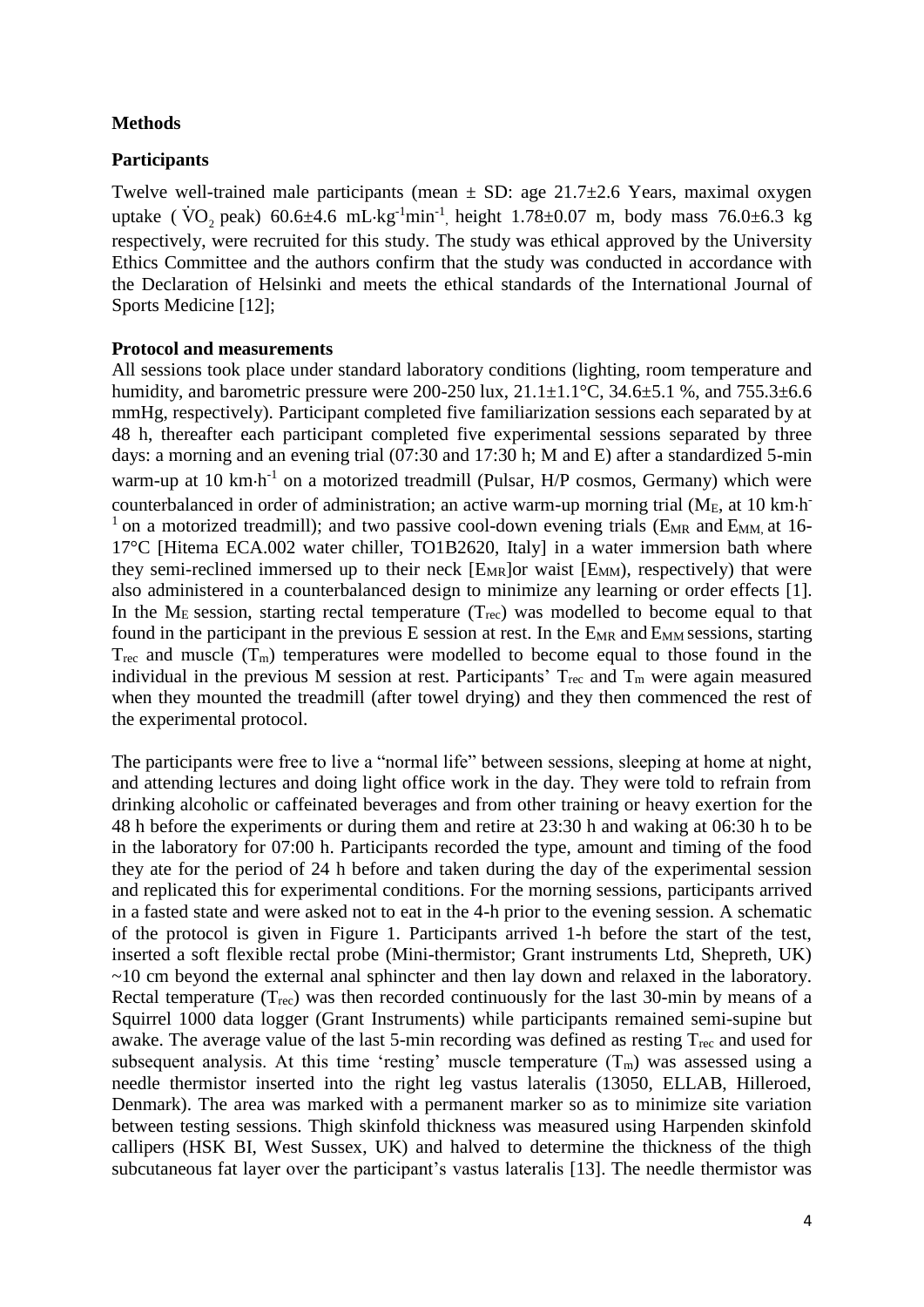# **Methods**

# **Participants**

Twelve well-trained male participants (mean  $\pm$  SD: age 21.7 $\pm$ 2.6 Years, maximal oxygen uptake ( $\rm \dot{VO}_{2}$  peak)  $60.6 \pm 4.6 \rm \ mL \cdot kg^{-1} \text{min}^{-1}$ , height  $1.78 \pm 0.07 \rm \ m$ , body mass  $76.0 \pm 6.3 \rm \ kg$ respectively, were recruited for this study. The study was ethical approved by the University Ethics Committee and the authors confirm that the study was conducted in accordance with the Declaration of Helsinki and meets the ethical standards of the International Journal of Sports Medicine [12];

# **Protocol and measurements**

All sessions took place under standard laboratory conditions (lighting, room temperature and humidity, and barometric pressure were 200-250 lux,  $21.1 \pm 1.1$ °C,  $34.6 \pm 5.1$  %, and  $755.3 \pm 6.6$ mmHg, respectively). Participant completed five familiarization sessions each separated by at 48 h, thereafter each participant completed five experimental sessions separated by three days: a morning and an evening trial (07:30 and 17:30 h; M and E) after a standardized 5-min warm-up at 10  $km \cdot h^{-1}$  on a motorized treadmill (Pulsar, H/P cosmos, Germany) which were counterbalanced in order of administration; an active warm-up morning trial ( $M_E$ , at 10 km·h<sup>-</sup>  $1$  on a motorized treadmill); and two passive cool-down evening trials (E<sub>MR</sub> and E<sub>MM</sub>, at 16-17°C [Hitema ECA.002 water chiller, TO1B2620, Italy] in a water immersion bath where they semi-reclined immersed up to their neck  $[Em_R]$ or waist  $[Em_M]$ , respectively) that were also administered in a counterbalanced design to minimize any learning or order effects [1]. In the  $M_E$  session, starting rectal temperature  $(T_{rec})$  was modelled to become equal to that found in the participant in the previous  $E$  session at rest. In the  $E_{MR}$  and  $E_{MM}$  sessions, starting  $T_{\text{rec}}$  and muscle  $(T_{\text{m}})$  temperatures were modelled to become equal to those found in the individual in the previous M session at rest. Participants'  $T_{\text{rec}}$  and  $T_{\text{m}}$  were again measured when they mounted the treadmill (after towel drying) and they then commenced the rest of the experimental protocol.

The participants were free to live a "normal life" between sessions, sleeping at home at night, and attending lectures and doing light office work in the day. They were told to refrain from drinking alcoholic or caffeinated beverages and from other training or heavy exertion for the 48 h before the experiments or during them and retire at 23:30 h and waking at 06:30 h to be in the laboratory for 07:00 h. Participants recorded the type, amount and timing of the food they ate for the period of 24 h before and taken during the day of the experimental session and replicated this for experimental conditions. For the morning sessions, participants arrived in a fasted state and were asked not to eat in the 4-h prior to the evening session. A schematic of the protocol is given in Figure 1. Participants arrived 1-h before the start of the test, inserted a soft flexible rectal probe (Mini-thermistor; Grant instruments Ltd, Shepreth, UK)  $\sim$ 10 cm beyond the external anal sphincter and then lay down and relaxed in the laboratory. Rectal temperature  $(T_{rec})$  was then recorded continuously for the last 30-min by means of a Squirrel 1000 data logger (Grant Instruments) while participants remained semi-supine but awake. The average value of the last 5-min recording was defined as resting  $T_{\text{rec}}$  and used for subsequent analysis. At this time 'resting' muscle temperature  $(T_m)$  was assessed using a needle thermistor inserted into the right leg vastus lateralis (13050, ELLAB, Hilleroed, Denmark). The area was marked with a permanent marker so as to minimize site variation between testing sessions. Thigh skinfold thickness was measured using Harpenden skinfold callipers (HSK BI, West Sussex, UK) and halved to determine the thickness of the thigh subcutaneous fat layer over the participant's vastus lateralis [13]. The needle thermistor was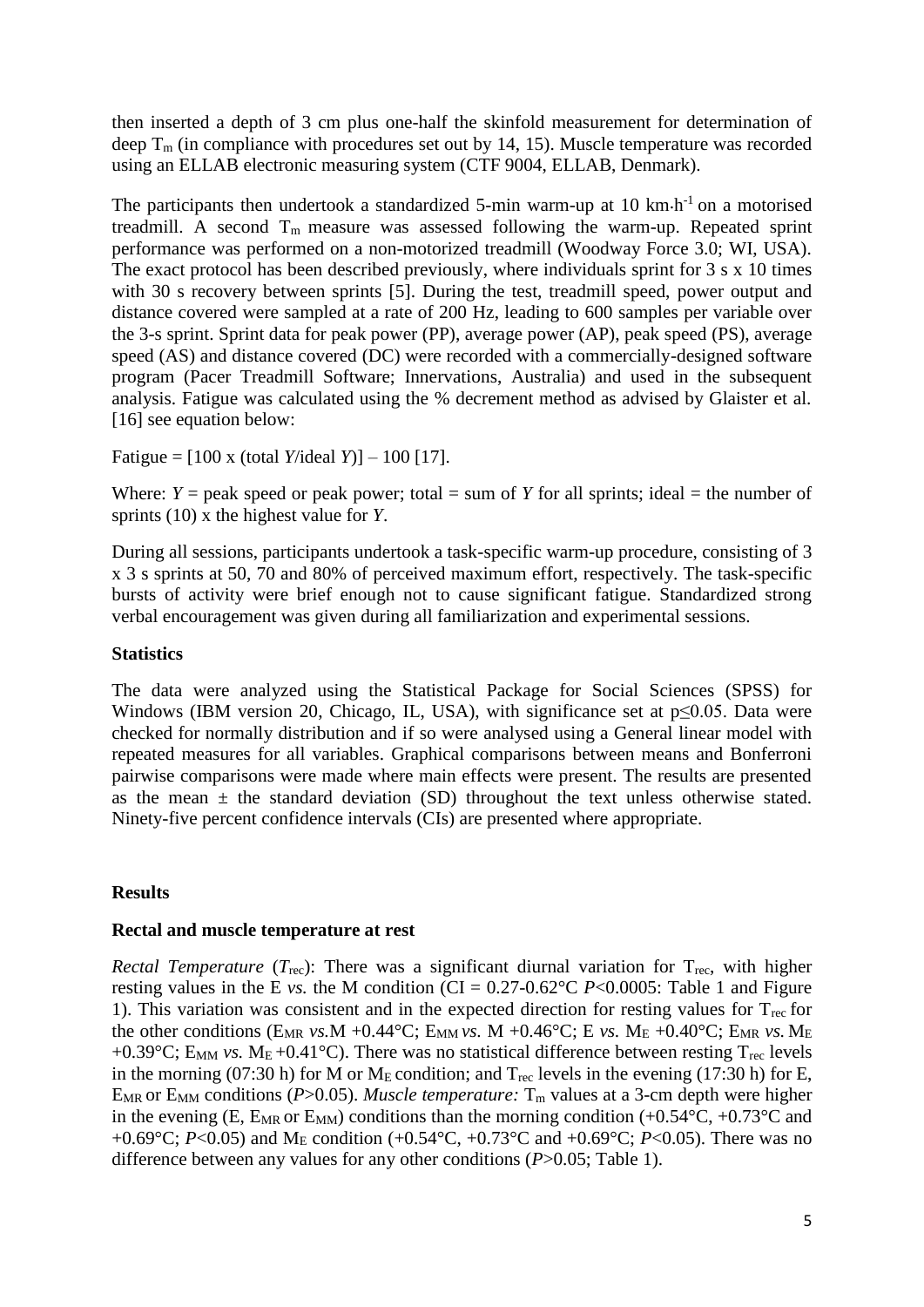then inserted a depth of 3 cm plus one-half the skinfold measurement for determination of deep  $T_m$  (in compliance with procedures set out by 14, 15). Muscle temperature was recorded using an ELLAB electronic measuring system (CTF 9004, ELLAB, Denmark).

The participants then undertook a standardized 5-min warm-up at  $10 \text{ km} \cdot \text{h}^{-1}$  on a motorised treadmill. A second  $T_m$  measure was assessed following the warm-up. Repeated sprint performance was performed on a non-motorized treadmill (Woodway Force 3.0; WI, USA). The exact protocol has been described previously, where individuals sprint for 3 s x 10 times with 30 s recovery between sprints [5]. During the test, treadmill speed, power output and distance covered were sampled at a rate of 200 Hz, leading to 600 samples per variable over the 3-s sprint. Sprint data for peak power (PP), average power (AP), peak speed (PS), average speed (AS) and distance covered (DC) were recorded with a commercially-designed software program (Pacer Treadmill Software; Innervations, Australia) and used in the subsequent analysis. Fatigue was calculated using the % decrement method as advised by Glaister et al. [16] see equation below:

Fatigue = [100 x (total *Y*/ideal *Y*)] – 100 [17].

Where:  $Y =$  peak speed or peak power; total = sum of *Y* for all sprints; ideal = the number of sprints (10) x the highest value for *Y*.

During all sessions, participants undertook a task-specific warm-up procedure, consisting of 3 x 3 s sprints at 50, 70 and 80% of perceived maximum effort, respectively. The task-specific bursts of activity were brief enough not to cause significant fatigue. Standardized strong verbal encouragement was given during all familiarization and experimental sessions.

#### **Statistics**

The data were analyzed using the Statistical Package for Social Sciences (SPSS) for Windows (IBM version 20, Chicago, IL, USA), with significance set at  $p \le 0.05$ . Data were checked for normally distribution and if so were analysed using a General linear model with repeated measures for all variables. Graphical comparisons between means and Bonferroni pairwise comparisons were made where main effects were present. The results are presented as the mean  $\pm$  the standard deviation (SD) throughout the text unless otherwise stated. Ninety-five percent confidence intervals (CIs) are presented where appropriate.

# **Results**

#### **Rectal and muscle temperature at rest**

*Rectal Temperature* (*T*<sub>rec</sub>): There was a significant diurnal variation for T<sub>rec</sub>, with higher resting values in the E *vs.* the M condition (CI =  $0.27$ - $0.62$ °C *P*<0.0005: Table 1 and Figure 1). This variation was consistent and in the expected direction for resting values for  $T_{rec}$  for the other conditions (E<sub>MR</sub> *vs.M* +0.44°C; E<sub>MM</sub> *vs.M* +0.46°C; E *vs.M<sub>E</sub>* +0.40°C; E<sub>MR</sub> *vs.M<sub>E</sub>* +0.39°C; E<sub>MM</sub> *vs.* M<sub>E</sub> +0.41°C). There was no statistical difference between resting T<sub>rec</sub> levels in the morning (07:30 h) for M or  $M_E$  condition; and  $T_{rec}$  levels in the evening (17:30 h) for E, E<sub>MR</sub> or E<sub>MM</sub> conditions ( $P > 0.05$ ). *Muscle temperature:*  $T_m$  values at a 3-cm depth were higher in the evening (E,  $E_{MR}$  or  $E_{MM}$ ) conditions than the morning condition (+0.54 $\rm ^{\circ}C$ , +0.73 $\rm ^{\circ}C$  and +0.69°C; *P*<0.05) and M<sub>E</sub> condition (+0.54°C, +0.73°C and +0.69°C; *P*<0.05). There was no difference between any values for any other conditions (*P*>0.05; Table 1).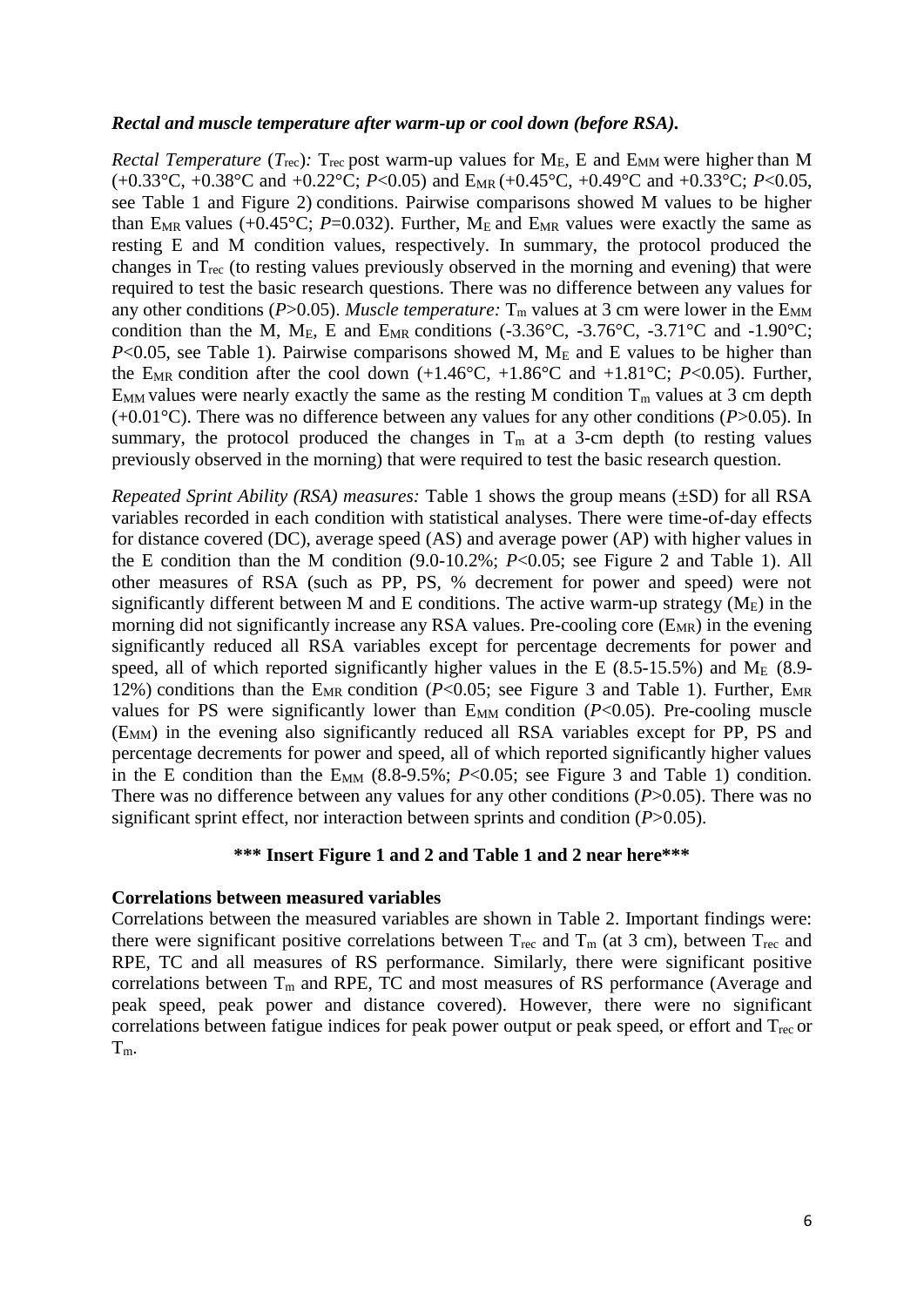#### *Rectal and muscle temperature after warm-up or cool down (before RSA).*

*Rectal Temperature* ( $T_{\text{rec}}$ ):  $T_{\text{rec}}$  post warm-up values for  $M_{\text{E}}$ , E and  $E_{\text{MM}}$  were higher than M  $(+0.33^{\circ}C, +0.38^{\circ}C \text{ and } +0.22^{\circ}C; P<0.05)$  and E<sub>MR</sub>  $(+0.45^{\circ}C, +0.49^{\circ}C \text{ and } +0.33^{\circ}C; P<0.05$ , see Table 1 and Figure 2) conditions. Pairwise comparisons showed M values to be higher than E<sub>MR</sub> values (+0.45°C; *P*=0.032). Further, M<sub>E</sub> and E<sub>MR</sub> values were exactly the same as resting E and M condition values, respectively. In summary, the protocol produced the changes in Trec (to resting values previously observed in the morning and evening) that were required to test the basic research questions. There was no difference between any values for any other conditions ( $P > 0.05$ ). *Muscle temperature*:  $T_m$  values at 3 cm were lower in the  $E_{MM}$ condition than the M, M<sub>E</sub>, E and E<sub>MR</sub> conditions (-3.36°C, -3.76°C, -3.71°C and -1.90°C; *P*<0.05, see Table 1). Pairwise comparisons showed M,  $M_E$  and E values to be higher than the E<sub>MR</sub> condition after the cool down  $(+1.46^{\circ}C, +1.86^{\circ}C \text{ and } +1.81^{\circ}C; P<0.05)$ . Further,  $E_{MM}$  values were nearly exactly the same as the resting M condition  $T_m$  values at 3 cm depth (+0.01°C). There was no difference between any values for any other conditions (*P*>0.05). In summary, the protocol produced the changes in  $T_m$  at a 3-cm depth (to resting values previously observed in the morning) that were required to test the basic research question.

*Repeated Sprint Ability (RSA) measures:* Table 1 shows the group means (±SD) for all RSA variables recorded in each condition with statistical analyses. There were time-of-day effects for distance covered (DC), average speed (AS) and average power (AP) with higher values in the E condition than the M condition (9.0-10.2%; *P*<0.05; see Figure 2 and Table 1). All other measures of RSA (such as PP, PS, % decrement for power and speed) were not significantly different between M and E conditions. The active warm-up strategy  $(M_E)$  in the morning did not significantly increase any RSA values. Pre-cooling core  $(E_{MR})$  in the evening significantly reduced all RSA variables except for percentage decrements for power and speed, all of which reported significantly higher values in the E  $(8.5-15.5%)$  and M<sub>E</sub>  $(8.9-$ 12%) conditions than the E<sub>MR</sub> condition ( $P < 0.05$ ; see Figure 3 and Table 1). Further, E<sub>MR</sub> values for PS were significantly lower than  $E_{MM}$  condition ( $P<0.05$ ). Pre-cooling muscle (EMM) in the evening also significantly reduced all RSA variables except for PP, PS and percentage decrements for power and speed, all of which reported significantly higher values in the E condition than the  $E_{MM}$  (8.8-9.5%; *P*<0.05; see Figure 3 and Table 1) condition. There was no difference between any values for any other conditions (*P*>0.05). There was no significant sprint effect, nor interaction between sprints and condition (*P*>0.05).

#### **\*\*\* Insert Figure 1 and 2 and Table 1 and 2 near here\*\*\***

#### **Correlations between measured variables**

Correlations between the measured variables are shown in Table 2. Important findings were: there were significant positive correlations between  $T_{\text{rec}}$  and  $T_{\text{m}}$  (at 3 cm), between  $T_{\text{rec}}$  and RPE, TC and all measures of RS performance. Similarly, there were significant positive correlations between  $T_m$  and RPE, TC and most measures of RS performance (Average and peak speed, peak power and distance covered). However, there were no significant correlations between fatigue indices for peak power output or peak speed, or effort and T<sub>rec</sub> or Tm.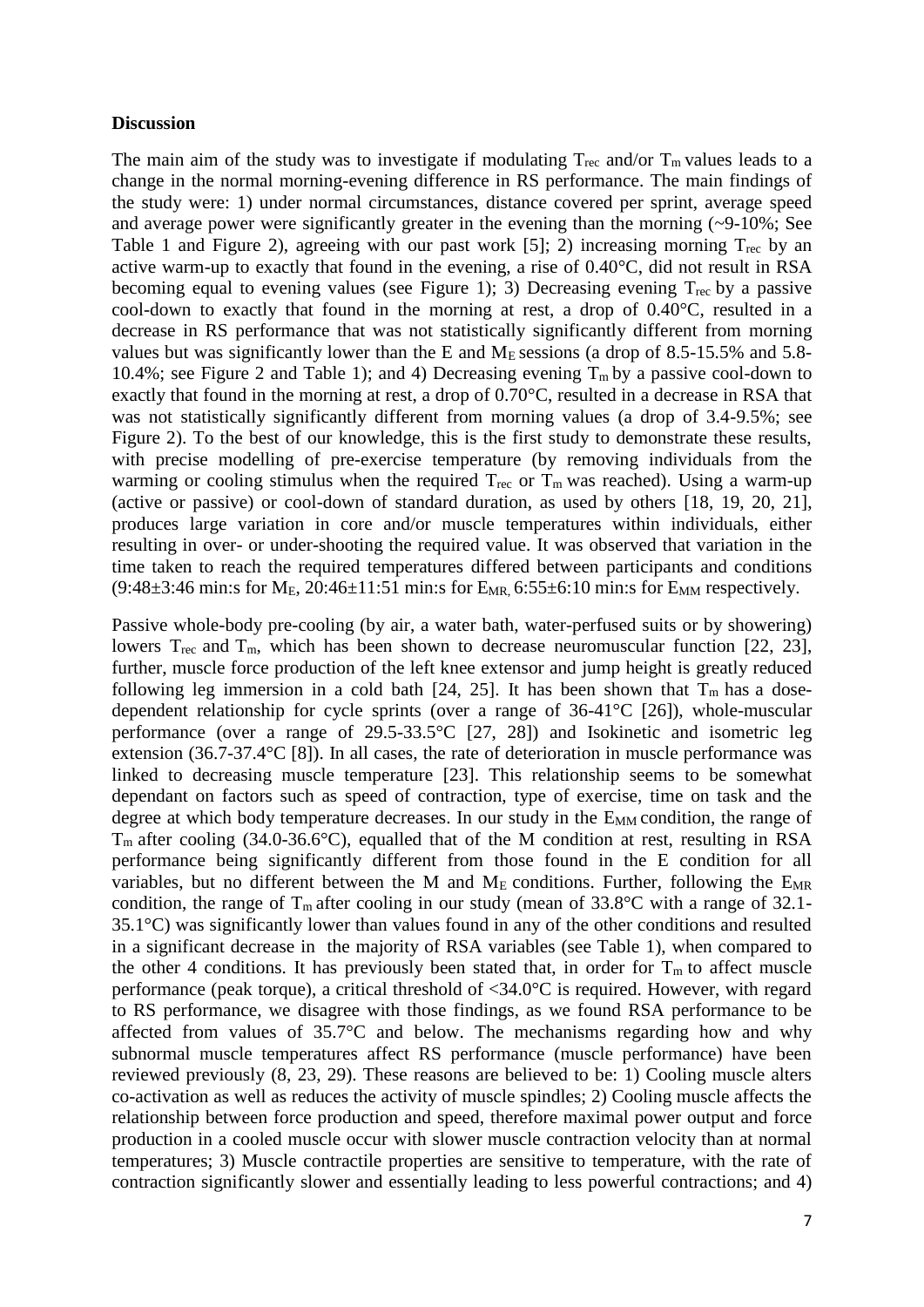#### **Discussion**

The main aim of the study was to investigate if modulating  $T_{\text{rec}}$  and/or  $T_{\text{m}}$  values leads to a change in the normal morning-evening difference in RS performance. The main findings of the study were: 1) under normal circumstances, distance covered per sprint, average speed and average power were significantly greater in the evening than the morning (~9-10%; See Table 1 and Figure 2), agreeing with our past work [5]; 2) increasing morning  $T_{\text{rec}}$  by an active warm-up to exactly that found in the evening, a rise of 0.40°C, did not result in RSA becoming equal to evening values (see Figure 1); 3) Decreasing evening  $T_{\text{rec}}$  by a passive cool-down to exactly that found in the morning at rest, a drop of 0.40°C, resulted in a decrease in RS performance that was not statistically significantly different from morning values but was significantly lower than the E and  $M<sub>E</sub>$  sessions (a drop of 8.5-15.5% and 5.8-10.4%; see Figure 2 and Table 1); and 4) Decreasing evening  $T_m$  by a passive cool-down to exactly that found in the morning at rest, a drop of 0.70°C, resulted in a decrease in RSA that was not statistically significantly different from morning values (a drop of 3.4-9.5%; see Figure 2). To the best of our knowledge, this is the first study to demonstrate these results, with precise modelling of pre-exercise temperature (by removing individuals from the warming or cooling stimulus when the required  $T_{\text{rec}}$  or  $T_{\text{m}}$  was reached). Using a warm-up (active or passive) or cool-down of standard duration, as used by others [18, 19, 20, 21], produces large variation in core and/or muscle temperatures within individuals, either resulting in over- or under-shooting the required value. It was observed that variation in the time taken to reach the required temperatures differed between participants and conditions  $(9:48\pm3:46 \text{ min: s for M}_E, 20:46\pm11:51 \text{ min: s for E}_{MR}, 6:55\pm6:10 \text{ min: s for E}_{MM}$  respectively.

Passive whole-body pre-cooling (by air, a water bath, water-perfused suits or by showering) lowers  $T_{\text{rec}}$  and  $T_{\text{m}}$ , which has been shown to decrease neuromuscular function [22, 23], further, muscle force production of the left knee extensor and jump height is greatly reduced following leg immersion in a cold bath [24, 25]. It has been shown that  $T_m$  has a dosedependent relationship for cycle sprints (over a range of 36-41°C [26]), whole-muscular performance (over a range of 29.5-33.5°C [27, 28]) and Isokinetic and isometric leg extension (36.7-37.4°C [8]). In all cases, the rate of deterioration in muscle performance was linked to decreasing muscle temperature [23]. This relationship seems to be somewhat dependant on factors such as speed of contraction, type of exercise, time on task and the degree at which body temperature decreases. In our study in the  $E_{MM}$  condition, the range of  $T_m$  after cooling (34.0-36.6°C), equalled that of the M condition at rest, resulting in RSA performance being significantly different from those found in the E condition for all variables, but no different between the M and  $M_E$  conditions. Further, following the  $E_{MR}$ condition, the range of  $T_m$  after cooling in our study (mean of 33.8°C with a range of 32.1-35.1°C) was significantly lower than values found in any of the other conditions and resulted in a significant decrease in the majority of RSA variables (see Table 1), when compared to the other 4 conditions. It has previously been stated that, in order for  $T_m$  to affect muscle performance (peak torque), a critical threshold of <34.0°C is required. However, with regard to RS performance, we disagree with those findings, as we found RSA performance to be affected from values of 35.7°C and below. The mechanisms regarding how and why subnormal muscle temperatures affect RS performance (muscle performance) have been reviewed previously (8, 23, 29). These reasons are believed to be: 1) Cooling muscle alters co-activation as well as reduces the activity of muscle spindles; 2) Cooling muscle affects the relationship between force production and speed, therefore maximal power output and force production in a cooled muscle occur with slower muscle contraction velocity than at normal temperatures; 3) Muscle contractile properties are sensitive to temperature, with the rate of contraction significantly slower and essentially leading to less powerful contractions; and 4)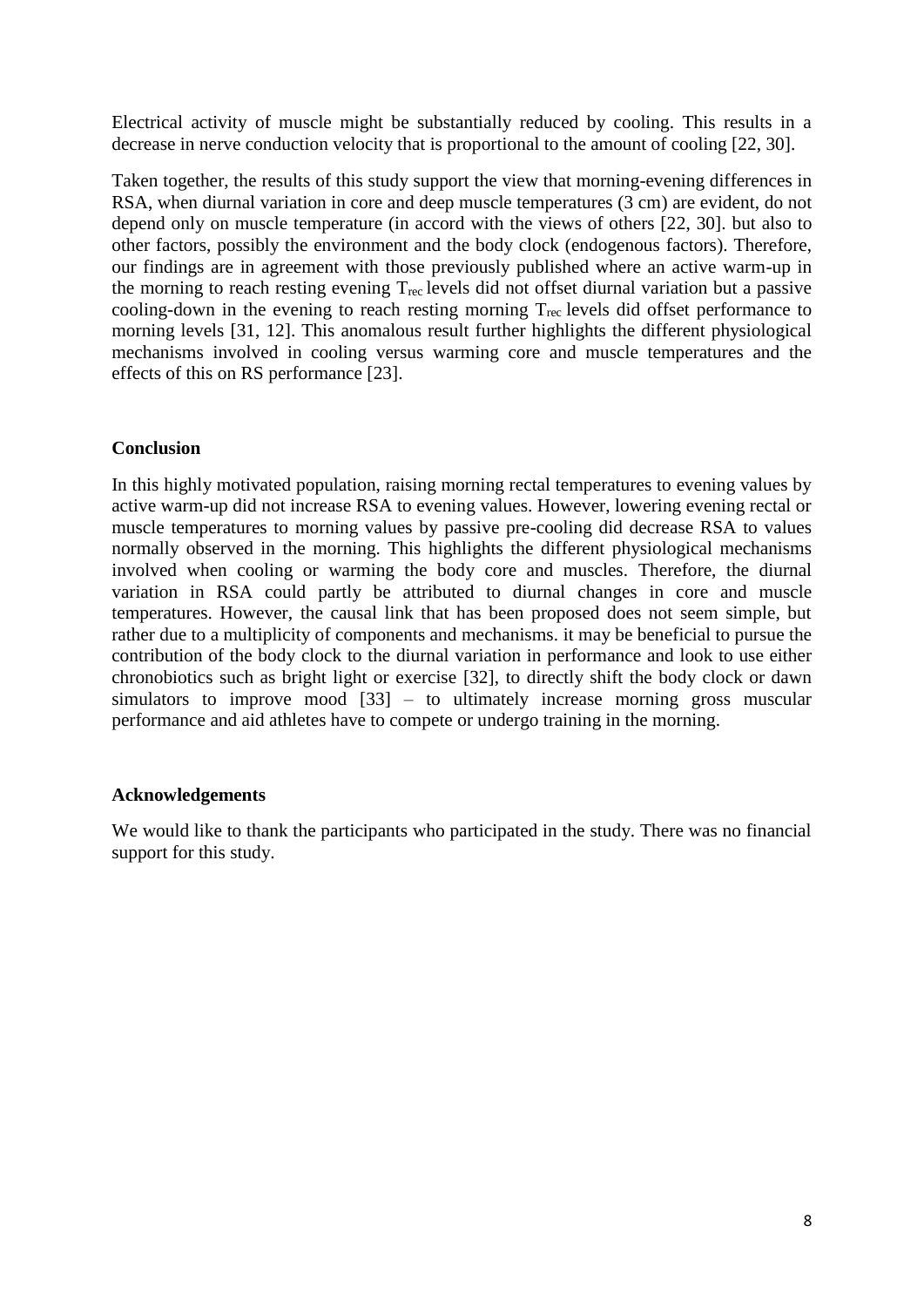Electrical activity of muscle might be substantially reduced by cooling. This results in a decrease in nerve conduction velocity that is proportional to the amount of cooling [22, 30].

Taken together, the results of this study support the view that morning-evening differences in RSA, when diurnal variation in core and deep muscle temperatures (3 cm) are evident, do not depend only on muscle temperature (in accord with the views of others [22, 30]. but also to other factors, possibly the environment and the body clock (endogenous factors). Therefore, our findings are in agreement with those previously published where an active warm-up in the morning to reach resting evening Trec levels did not offset diurnal variation but a passive cooling-down in the evening to reach resting morning  $T_{\text{rec}}$  levels did offset performance to morning levels [31, 12]. This anomalous result further highlights the different physiological mechanisms involved in cooling versus warming core and muscle temperatures and the effects of this on RS performance [23].

# **Conclusion**

In this highly motivated population, raising morning rectal temperatures to evening values by active warm-up did not increase RSA to evening values. However, lowering evening rectal or muscle temperatures to morning values by passive pre-cooling did decrease RSA to values normally observed in the morning. This highlights the different physiological mechanisms involved when cooling or warming the body core and muscles. Therefore, the diurnal variation in RSA could partly be attributed to diurnal changes in core and muscle temperatures. However, the causal link that has been proposed does not seem simple, but rather due to a multiplicity of components and mechanisms. it may be beneficial to pursue the contribution of the body clock to the diurnal variation in performance and look to use either chronobiotics such as bright light or exercise [32], to directly shift the body clock or dawn simulators to improve mood [33] – to ultimately increase morning gross muscular performance and aid athletes have to compete or undergo training in the morning.

#### **Acknowledgements**

We would like to thank the participants who participated in the study. There was no financial support for this study.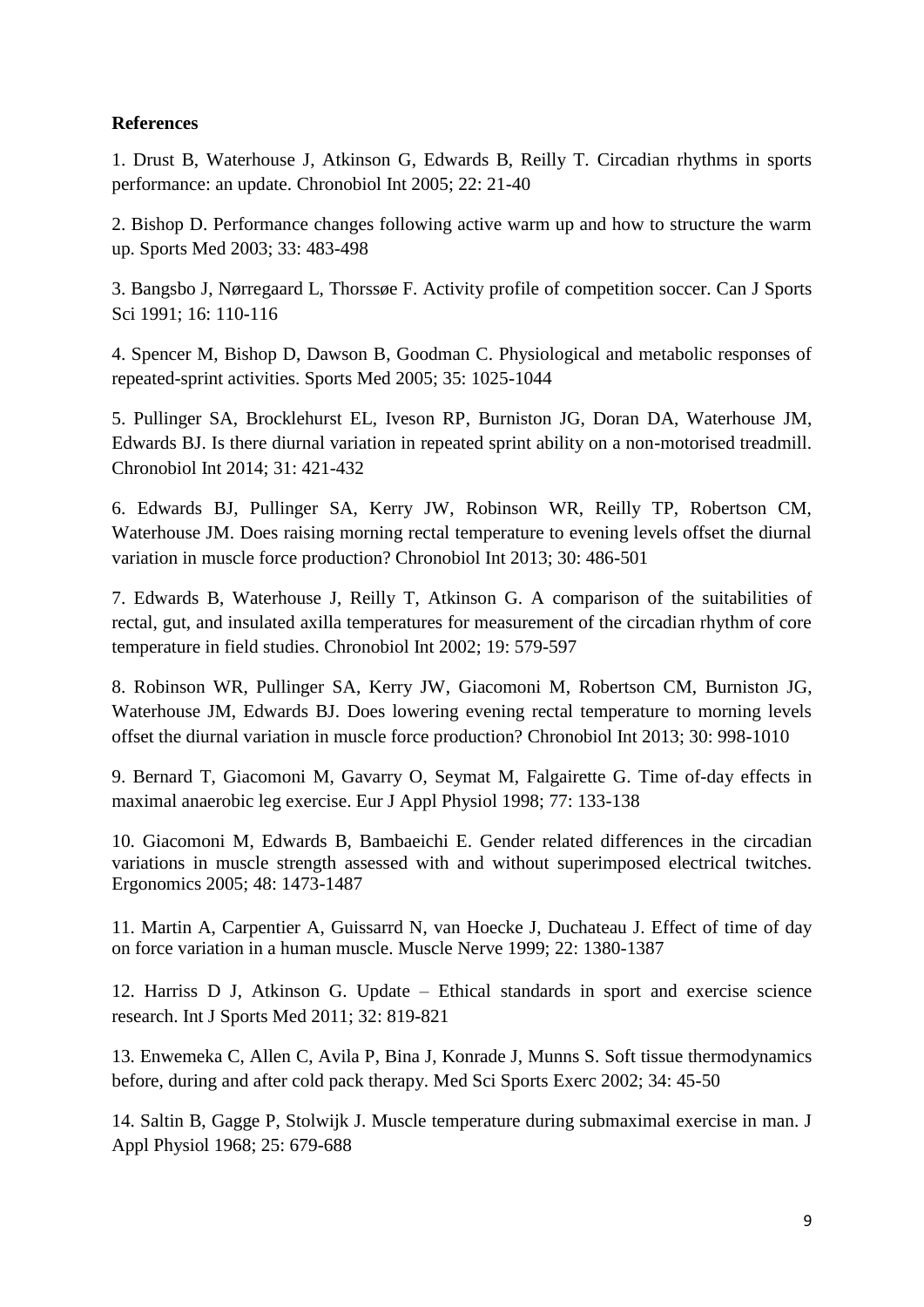# **References**

1. Drust B, Waterhouse J, Atkinson G, Edwards B, Reilly T. Circadian rhythms in sports performance: an update. Chronobiol Int 2005; 22: 21-40

2. Bishop D. Performance changes following active warm up and how to structure the warm up. Sports Med 2003; 33: 483-498

3. Bangsbo J, Nørregaard L, Thorssøe F. Activity profile of competition soccer. Can J Sports Sci 1991; 16: 110-116

4. Spencer M, Bishop D, Dawson B, Goodman C. Physiological and metabolic responses of repeated-sprint activities. Sports Med 2005; 35: 1025-1044

5. Pullinger SA, Brocklehurst EL, Iveson RP, Burniston JG, Doran DA, Waterhouse JM, Edwards BJ. Is there diurnal variation in repeated sprint ability on a non-motorised treadmill. Chronobiol Int 2014; 31: 421-432

6. Edwards BJ, Pullinger SA, Kerry JW, Robinson WR, Reilly TP, Robertson CM, Waterhouse JM. Does raising morning rectal temperature to evening levels offset the diurnal variation in muscle force production? Chronobiol Int 2013; 30: 486-501

7. Edwards B, Waterhouse J, Reilly T, Atkinson G. A comparison of the suitabilities of rectal, gut, and insulated axilla temperatures for measurement of the circadian rhythm of core temperature in field studies. Chronobiol Int 2002; 19: 579-597

8. Robinson WR, Pullinger SA, Kerry JW, Giacomoni M, Robertson CM, Burniston JG, Waterhouse JM, Edwards BJ. Does lowering evening rectal temperature to morning levels offset the diurnal variation in muscle force production? Chronobiol Int 2013; 30: 998-1010

9. Bernard T, Giacomoni M, Gavarry O, Seymat M, Falgairette G. Time of-day effects in maximal anaerobic leg exercise. Eur J Appl Physiol 1998; 77: 133-138

10. Giacomoni M, Edwards B, Bambaeichi E. Gender related differences in the circadian variations in muscle strength assessed with and without superimposed electrical twitches. Ergonomics 2005; 48: 1473-1487

11. Martin A, Carpentier A, Guissarrd N, van Hoecke J, Duchateau J. Effect of time of day on force variation in a human muscle. Muscle Nerve 1999; 22: 1380-1387

12. Harriss D J, Atkinson G. Update – Ethical standards in sport and exercise science research. Int J Sports Med 2011; 32: 819-821

13. Enwemeka C, Allen C, Avila P, Bina J, Konrade J, Munns S. Soft tissue thermodynamics before, during and after cold pack therapy. Med Sci Sports Exerc 2002; 34: 45-50

14. Saltin B, Gagge P, Stolwijk J. Muscle temperature during submaximal exercise in man. J Appl Physiol 1968; 25: 679-688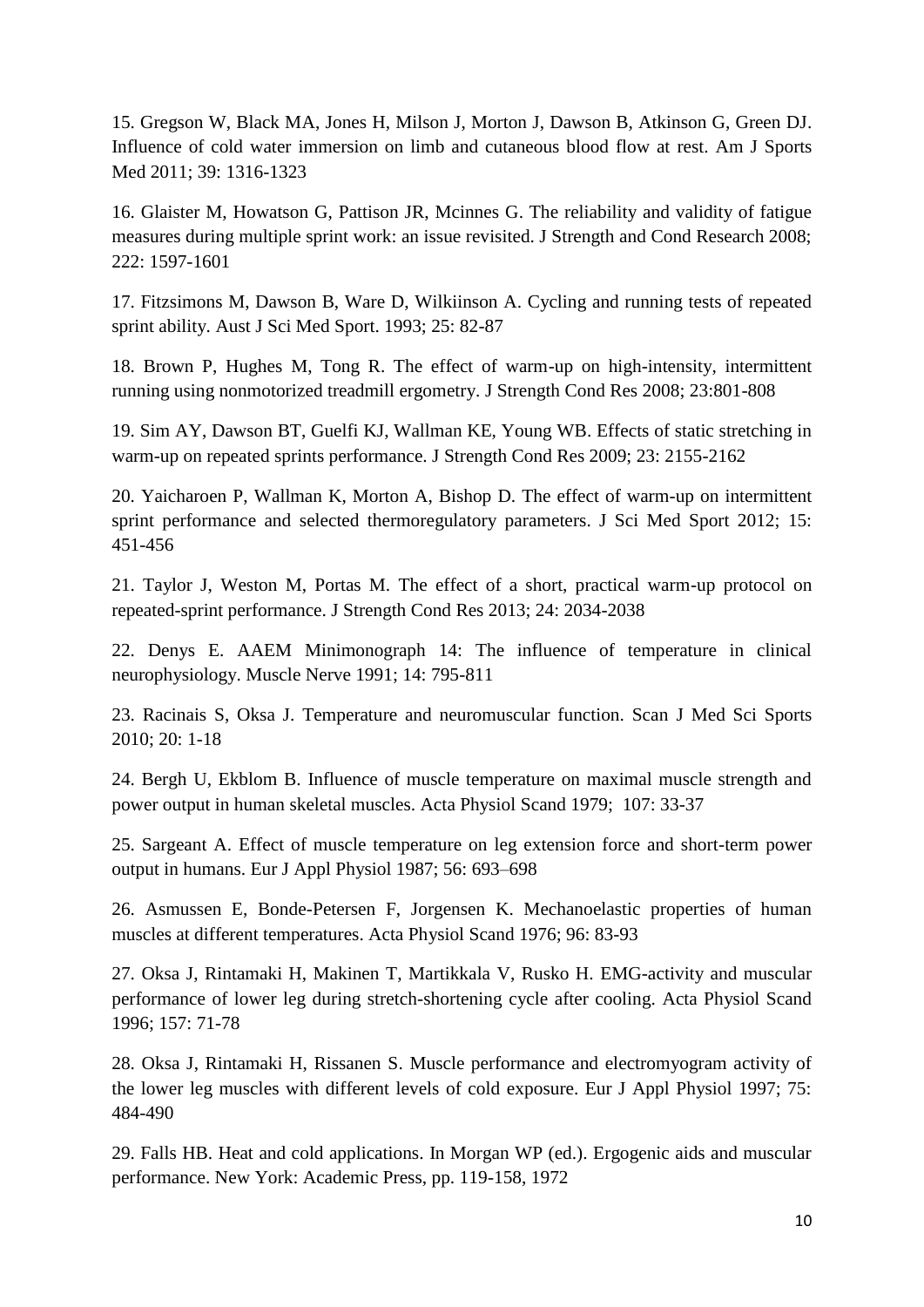15. Gregson W, Black MA, Jones H, Milson J, Morton J, Dawson B, Atkinson G, Green DJ. Influence of cold water immersion on limb and cutaneous blood flow at rest. Am J Sports Med 2011; 39: 1316-1323

16. Glaister M, Howatson G, Pattison JR, Mcinnes G. The reliability and validity of fatigue measures during multiple sprint work: an issue revisited. J Strength and Cond Research 2008; 222: 1597-1601

17. Fitzsimons M, Dawson B, Ware D, Wilkiinson A. Cycling and running tests of repeated sprint ability. Aust J Sci Med Sport. 1993; 25: 82-87

18. Brown P, Hughes M, Tong R. The effect of warm-up on high-intensity, intermittent running using nonmotorized treadmill ergometry. J Strength Cond Res 2008; 23:801-808

19. Sim AY, Dawson BT, Guelfi KJ, Wallman KE, Young WB. Effects of static stretching in warm-up on repeated sprints performance. J Strength Cond Res 2009; 23: 2155-2162

20. Yaicharoen P, Wallman K, Morton A, Bishop D. The effect of warm-up on intermittent sprint performance and selected thermoregulatory parameters. J Sci Med Sport 2012; 15: 451-456

21. Taylor J, Weston M, Portas M. The effect of a short, practical warm-up protocol on repeated-sprint performance. J Strength Cond Res 2013; 24: 2034-2038

22. Denys E. AAEM Minimonograph 14: The influence of temperature in clinical neurophysiology. Muscle Nerve 1991; 14: 795-811

23. Racinais S, Oksa J. Temperature and neuromuscular function. Scan J Med Sci Sports 2010; 20: 1-18

24. Bergh U, Ekblom B. Influence of muscle temperature on maximal muscle strength and power output in human skeletal muscles. Acta Physiol Scand 1979; 107: 33-37

25. Sargeant A. Effect of muscle temperature on leg extension force and short-term power output in humans. Eur J Appl Physiol 1987; 56: 693–698

26. Asmussen E, Bonde-Petersen F, Jorgensen K. Mechanoelastic properties of human muscles at different temperatures. Acta Physiol Scand 1976; 96: 83-93

27. Oksa J, Rintamaki H, Makinen T, Martikkala V, Rusko H. EMG-activity and muscular performance of lower leg during stretch-shortening cycle after cooling. Acta Physiol Scand 1996; 157: 71-78

28. Oksa J, Rintamaki H, Rissanen S. Muscle performance and electromyogram activity of the lower leg muscles with different levels of cold exposure. Eur J Appl Physiol 1997; 75: 484-490

29. Falls HB. Heat and cold applications. In Morgan WP (ed.). Ergogenic aids and muscular performance. New York: Academic Press, pp. 119-158, 1972